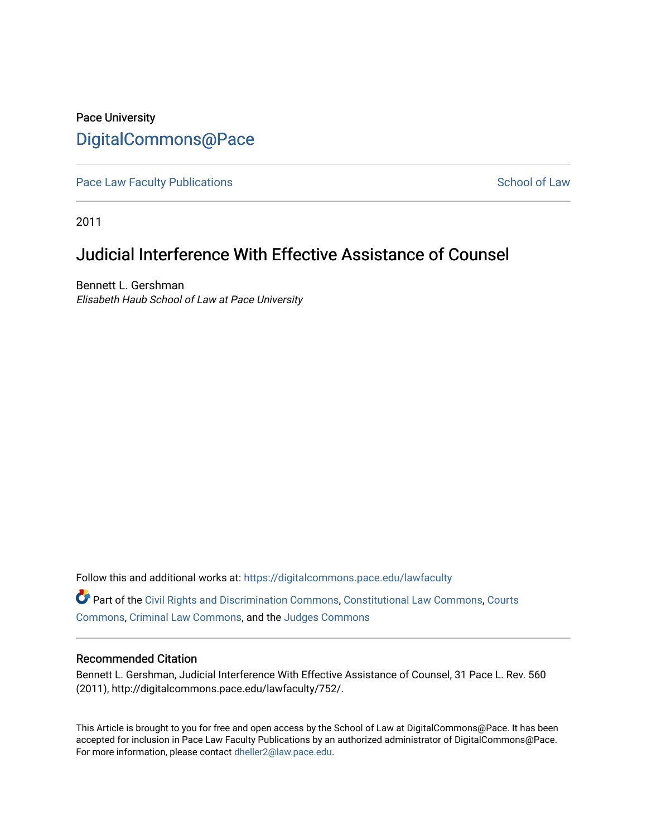# Pace University [DigitalCommons@Pace](https://digitalcommons.pace.edu/)

[Pace Law Faculty Publications](https://digitalcommons.pace.edu/lawfaculty) **School of Law** School of Law

2011

# Judicial Interference With Effective Assistance of Counsel

Bennett L. Gershman Elisabeth Haub School of Law at Pace University

Follow this and additional works at: [https://digitalcommons.pace.edu/lawfaculty](https://digitalcommons.pace.edu/lawfaculty?utm_source=digitalcommons.pace.edu%2Flawfaculty%2F752&utm_medium=PDF&utm_campaign=PDFCoverPages) Part of the [Civil Rights and Discrimination Commons,](http://network.bepress.com/hgg/discipline/585?utm_source=digitalcommons.pace.edu%2Flawfaculty%2F752&utm_medium=PDF&utm_campaign=PDFCoverPages) [Constitutional Law Commons,](http://network.bepress.com/hgg/discipline/589?utm_source=digitalcommons.pace.edu%2Flawfaculty%2F752&utm_medium=PDF&utm_campaign=PDFCoverPages) [Courts](http://network.bepress.com/hgg/discipline/839?utm_source=digitalcommons.pace.edu%2Flawfaculty%2F752&utm_medium=PDF&utm_campaign=PDFCoverPages) [Commons](http://network.bepress.com/hgg/discipline/839?utm_source=digitalcommons.pace.edu%2Flawfaculty%2F752&utm_medium=PDF&utm_campaign=PDFCoverPages), [Criminal Law Commons,](http://network.bepress.com/hgg/discipline/912?utm_source=digitalcommons.pace.edu%2Flawfaculty%2F752&utm_medium=PDF&utm_campaign=PDFCoverPages) and the [Judges Commons](http://network.bepress.com/hgg/discipline/849?utm_source=digitalcommons.pace.edu%2Flawfaculty%2F752&utm_medium=PDF&utm_campaign=PDFCoverPages)

### Recommended Citation

Bennett L. Gershman, Judicial Interference With Effective Assistance of Counsel, 31 Pace L. Rev. 560 (2011), http://digitalcommons.pace.edu/lawfaculty/752/.

This Article is brought to you for free and open access by the School of Law at DigitalCommons@Pace. It has been accepted for inclusion in Pace Law Faculty Publications by an authorized administrator of DigitalCommons@Pace. For more information, please contact [dheller2@law.pace.edu](mailto:dheller2@law.pace.edu).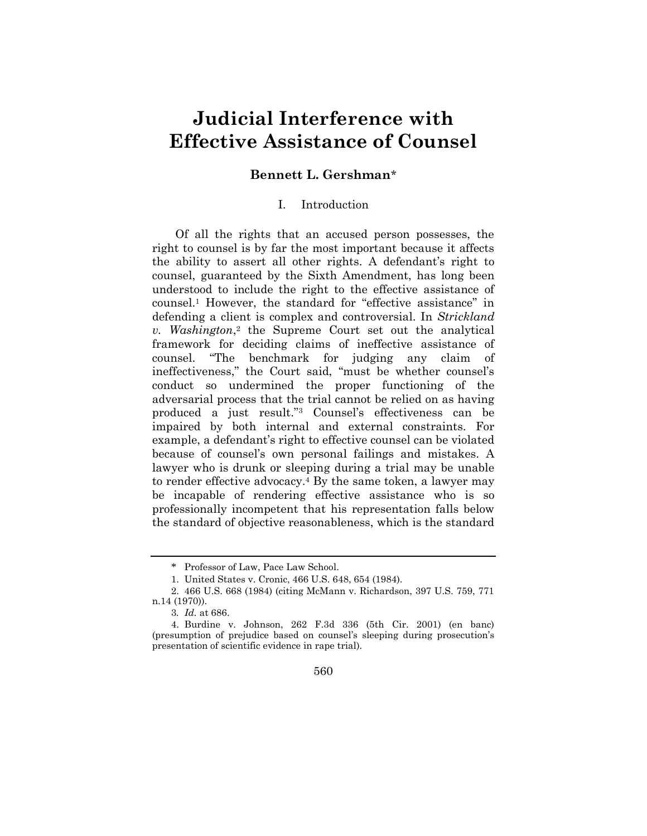# **Judicial Interference with Effective Assistance of Counsel**

## **Bennett L. Gershman**\*

#### I. Introduction

Of all the rights that an accused person possesses, the right to counsel is by far the most important because it affects the ability to assert all other rights. A defendant's right to counsel, guaranteed by the Sixth Amendment, has long been understood to include the right to the effective assistance of counsel.<sup>1</sup> However, the standard for "effective assistance" in defending a client is complex and controversial. In *Strickland v. Washington*, 2 the Supreme Court set out the analytical framework for deciding claims of ineffective assistance of counsel. "The benchmark for judging any claim of ineffectiveness," the Court said, "must be whether counsel"s conduct so undermined the proper functioning of the adversarial process that the trial cannot be relied on as having produced a just result."<sup>3</sup> Counsel's effectiveness can be impaired by both internal and external constraints. For example, a defendant's right to effective counsel can be violated because of counsel"s own personal failings and mistakes. A lawyer who is drunk or sleeping during a trial may be unable to render effective advocacy.<sup>4</sup> By the same token, a lawyer may be incapable of rendering effective assistance who is so professionally incompetent that his representation falls below the standard of objective reasonableness, which is the standard

<sup>\*</sup> Professor of Law, Pace Law School.

<sup>1.</sup> United States v. Cronic, 466 U.S. 648, 654 (1984).

<sup>2. 466</sup> U.S. 668 (1984) (citing McMann v. Richardson, 397 U.S. 759, 771 n.14 (1970)).

<sup>3</sup>*. Id.* at 686.

<sup>4.</sup> Burdine v. Johnson, 262 F.3d 336 (5th Cir. 2001) (en banc) (presumption of prejudice based on counsel"s sleeping during prosecution"s presentation of scientific evidence in rape trial).

<sup>560</sup>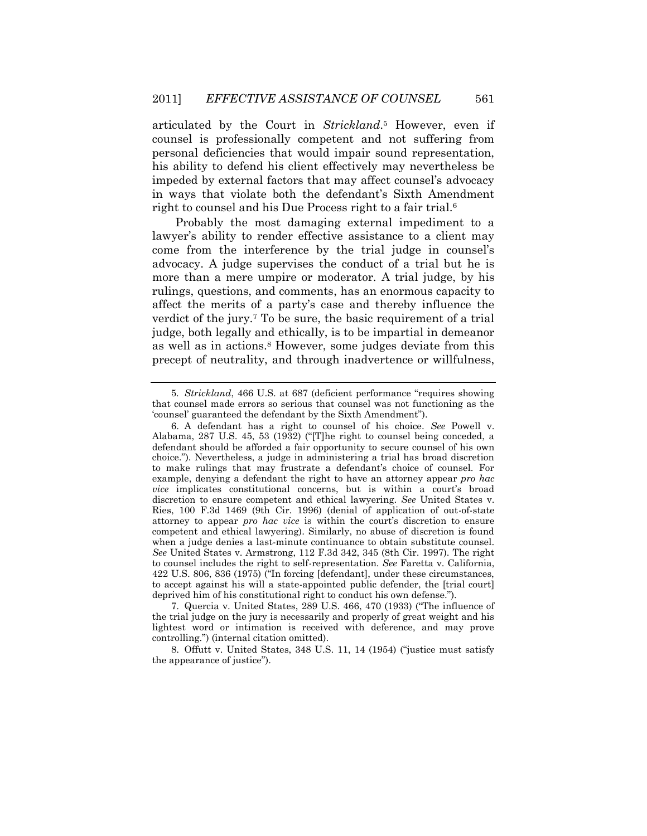articulated by the Court in *Strickland*. <sup>5</sup> However, even if counsel is professionally competent and not suffering from personal deficiencies that would impair sound representation, his ability to defend his client effectively may nevertheless be impeded by external factors that may affect counsel's advocacy in ways that violate both the defendant's Sixth Amendment right to counsel and his Due Process right to a fair trial.<sup>6</sup>

Probably the most damaging external impediment to a lawyer's ability to render effective assistance to a client may come from the interference by the trial judge in counsel"s advocacy. A judge supervises the conduct of a trial but he is more than a mere umpire or moderator. A trial judge, by his rulings, questions, and comments, has an enormous capacity to affect the merits of a party"s case and thereby influence the verdict of the jury.<sup>7</sup> To be sure, the basic requirement of a trial judge, both legally and ethically, is to be impartial in demeanor as well as in actions.<sup>8</sup> However, some judges deviate from this precept of neutrality, and through inadvertence or willfulness,

7. Quercia v. United States, 289 U.S. 466, 470 (1933) ("The influence of the trial judge on the jury is necessarily and properly of great weight and his lightest word or intimation is received with deference, and may prove controlling.") (internal citation omitted).

8. Offutt v. United States, 348 U.S. 11, 14 (1954) ("justice must satisfy the appearance of justice").

<sup>5</sup>*. Strickland*, 466 U.S. at 687 (deficient performance "requires showing that counsel made errors so serious that counsel was not functioning as the "counsel" guaranteed the defendant by the Sixth Amendment").

<sup>6.</sup> A defendant has a right to counsel of his choice. *See* Powell v. Alabama, 287 U.S. 45, 53 (1932) ("[T]he right to counsel being conceded, a defendant should be afforded a fair opportunity to secure counsel of his own choice."). Nevertheless, a judge in administering a trial has broad discretion to make rulings that may frustrate a defendant's choice of counsel. For example, denying a defendant the right to have an attorney appear *pro hac vice* implicates constitutional concerns, but is within a court's broad discretion to ensure competent and ethical lawyering. *See* United States v. Ries, 100 F.3d 1469 (9th Cir. 1996) (denial of application of out-of-state attorney to appear *pro hac vice* is within the court's discretion to ensure competent and ethical lawyering). Similarly, no abuse of discretion is found when a judge denies a last-minute continuance to obtain substitute counsel. *See* United States v. Armstrong, 112 F.3d 342, 345 (8th Cir. 1997). The right to counsel includes the right to self-representation. *See* Faretta v. California, 422 U.S. 806, 836 (1975) ("In forcing [defendant], under these circumstances, to accept against his will a state-appointed public defender, the [trial court] deprived him of his constitutional right to conduct his own defense.").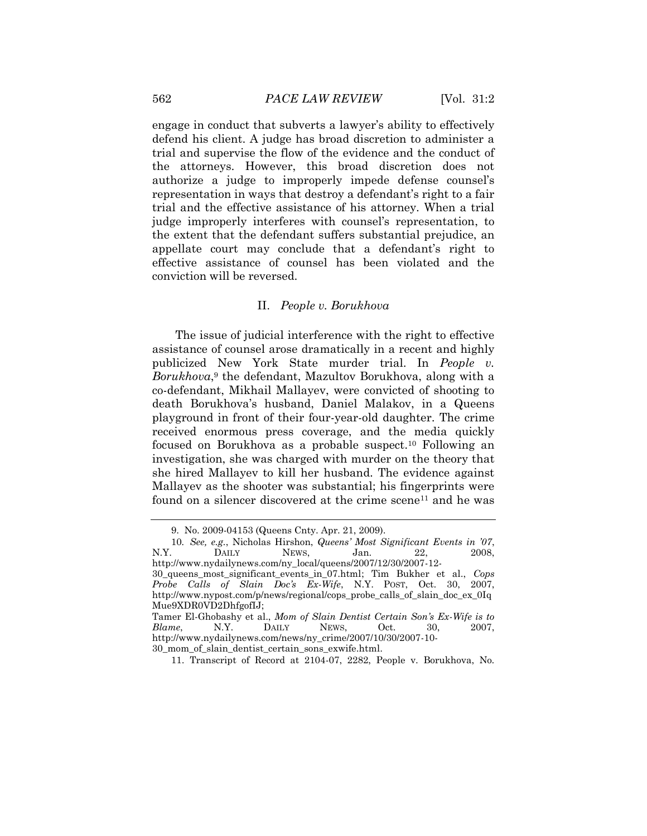engage in conduct that subverts a lawyer"s ability to effectively defend his client. A judge has broad discretion to administer a trial and supervise the flow of the evidence and the conduct of the attorneys. However, this broad discretion does not authorize a judge to improperly impede defense counsel"s representation in ways that destroy a defendant's right to a fair trial and the effective assistance of his attorney. When a trial judge improperly interferes with counsel's representation, to the extent that the defendant suffers substantial prejudice, an appellate court may conclude that a defendant's right to effective assistance of counsel has been violated and the conviction will be reversed.

#### II. *People v. Borukhova*

The issue of judicial interference with the right to effective assistance of counsel arose dramatically in a recent and highly publicized New York State murder trial. In *People v.*  Borukhova,<sup>9</sup> the defendant, Mazultov Borukhova, along with a co-defendant, Mikhail Mallayev, were convicted of shooting to death Borukhova"s husband, Daniel Malakov, in a Queens playground in front of their four-year-old daughter. The crime received enormous press coverage, and the media quickly focused on Borukhova as a probable suspect.10 Following an investigation, she was charged with murder on the theory that she hired Mallayev to kill her husband. The evidence against Mallayev as the shooter was substantial; his fingerprints were found on a silencer discovered at the crime scene<sup>11</sup> and he was

<sup>9.</sup> No. 2009-04153 (Queens Cnty. Apr. 21, 2009).

<sup>10</sup>*. See, e.g.*, Nicholas Hirshon, *Queens' Most Significant Events in '07*, N.Y. DAILY NEWS, Jan. 22, 2008, http://www.nydailynews.com/ny\_local/queens/2007/12/30/2007-12- 30\_queens\_most\_significant\_events\_in\_07.html; Tim Bukher et al., *Cops* 

*Probe Calls of Slain Doc's Ex-Wife*, N.Y. POST, Oct. 30, 2007, http://www.nypost.com/p/news/regional/cops\_probe\_calls\_of\_slain\_doc\_ex\_0Iq Mue9XDR0VD2DhfgofIJ;

Tamer El-Ghobashy et al., *Mom of Slain Dentist Certain Son's Ex-Wife is to Blame*, N.Y. DAILY NEWS, Oct. 30, 2007, http://www.nydailynews.com/news/ny\_crime/2007/10/30/2007-10- 30\_mom\_of\_slain\_dentist\_certain\_sons\_exwife.html.

<sup>11.</sup> Transcript of Record at 2104-07, 2282, People v. Borukhova, No.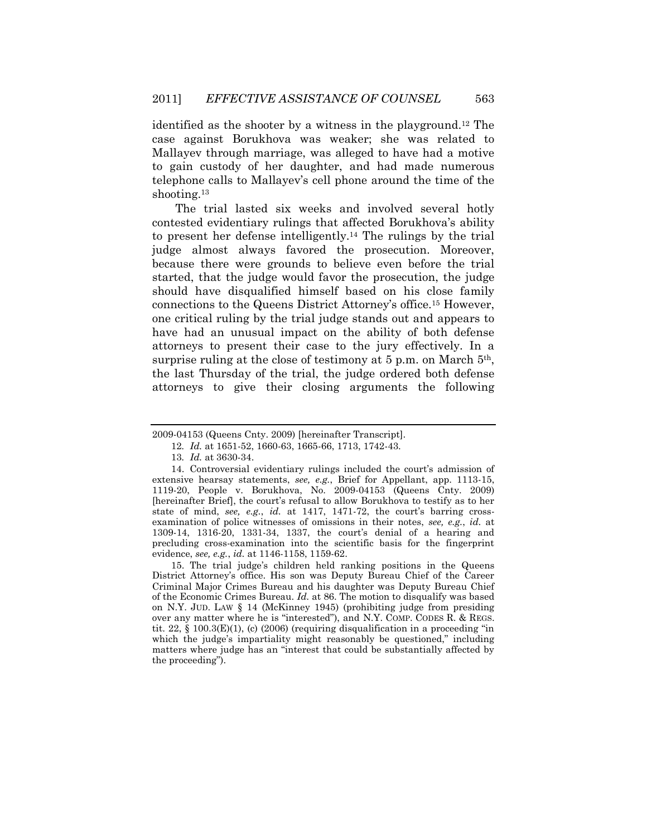identified as the shooter by a witness in the playground.12 The case against Borukhova was weaker; she was related to Mallayev through marriage, was alleged to have had a motive to gain custody of her daughter, and had made numerous telephone calls to Mallayev"s cell phone around the time of the shooting.<sup>13</sup>

The trial lasted six weeks and involved several hotly contested evidentiary rulings that affected Borukhova's ability to present her defense intelligently.14 The rulings by the trial judge almost always favored the prosecution. Moreover, because there were grounds to believe even before the trial started, that the judge would favor the prosecution, the judge should have disqualified himself based on his close family connections to the Queens District Attorney"s office.15 However, one critical ruling by the trial judge stands out and appears to have had an unusual impact on the ability of both defense attorneys to present their case to the jury effectively. In a surprise ruling at the close of testimony at 5 p.m. on March 5<sup>th</sup>, the last Thursday of the trial, the judge ordered both defense attorneys to give their closing arguments the following

15. The trial judge"s children held ranking positions in the Queens District Attorney"s office. His son was Deputy Bureau Chief of the Career Criminal Major Crimes Bureau and his daughter was Deputy Bureau Chief of the Economic Crimes Bureau. *Id.* at 86. The motion to disqualify was based on N.Y. JUD. LAW § 14 (McKinney 1945) (prohibiting judge from presiding over any matter where he is "interested"), and N.Y. COMP. CODES R. & REGS. tit.  $22, \xi$  100.3(E)(1), (c) (2006) (requiring disqualification in a proceeding "in which the judge's impartiality might reasonably be questioned," including matters where judge has an "interest that could be substantially affected by the proceeding").

<sup>2009-04153 (</sup>Queens Cnty. 2009) [hereinafter Transcript].

<sup>12</sup>*. Id.* at 1651-52, 1660-63, 1665-66, 1713, 1742-43.

<sup>13</sup>*. Id.* at 3630-34.

<sup>14.</sup> Controversial evidentiary rulings included the court's admission of extensive hearsay statements, *see, e.g.*, Brief for Appellant, app. 1113-15, 1119-20, People v. Borukhova, No. 2009-04153 (Queens Cnty. 2009) [hereinafter Brief], the court's refusal to allow Borukhova to testify as to her state of mind, see, e.g., *id.* at 1417, 1471-72, the court's barring crossexamination of police witnesses of omissions in their notes, *see, e.g.*, *id.* at 1309-14, 1316-20, 1331-34, 1337, the court's denial of a hearing and precluding cross-examination into the scientific basis for the fingerprint evidence, *see, e.g.*, *id.* at 1146-1158, 1159-62.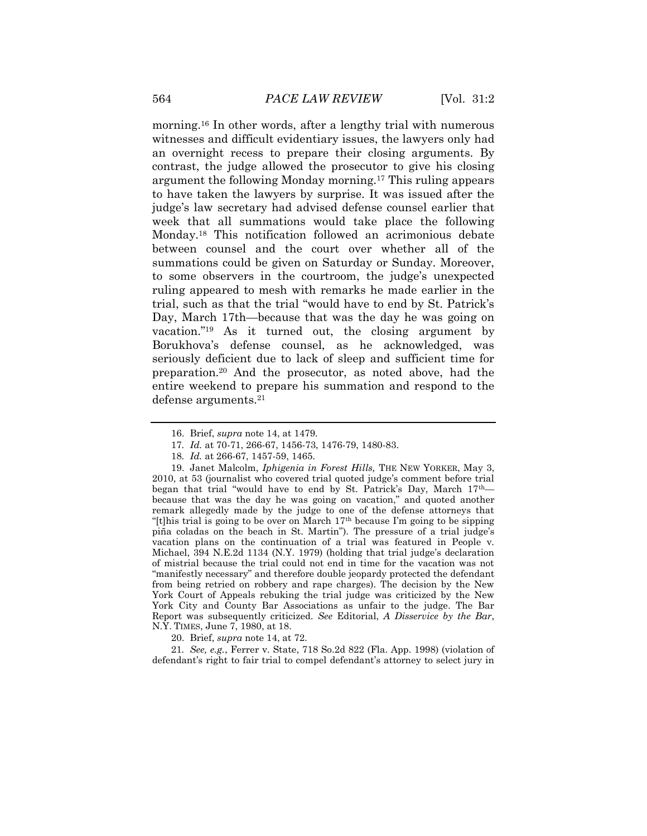morning.16 In other words, after a lengthy trial with numerous witnesses and difficult evidentiary issues, the lawyers only had an overnight recess to prepare their closing arguments. By contrast, the judge allowed the prosecutor to give his closing argument the following Monday morning.17 This ruling appears to have taken the lawyers by surprise. It was issued after the judge"s law secretary had advised defense counsel earlier that week that all summations would take place the following Monday.18 This notification followed an acrimonious debate between counsel and the court over whether all of the summations could be given on Saturday or Sunday. Moreover, to some observers in the courtroom, the judge's unexpected ruling appeared to mesh with remarks he made earlier in the trial, such as that the trial "would have to end by St. Patrick"s Day, March 17th—because that was the day he was going on vacation."19 As it turned out, the closing argument by Borukhova"s defense counsel, as he acknowledged, was seriously deficient due to lack of sleep and sufficient time for preparation.20 And the prosecutor, as noted above, had the entire weekend to prepare his summation and respond to the defense arguments.<sup>21</sup>

20. Brief, *supra* note 14, at 72.

21*. See, e.g.*, Ferrer v. State, 718 So.2d 822 (Fla. App. 1998) (violation of defendant's right to fair trial to compel defendant's attorney to select jury in

<sup>16.</sup> Brief, *supra* note 14, at 1479.

<sup>17</sup>*. Id.* at 70-71, 266-67, 1456-73, 1476-79, 1480-83.

<sup>18</sup>*. Id.* at 266-67, 1457-59, 1465.

<sup>19.</sup> Janet Malcolm, *Iphigenia in Forest Hills,* THE NEW YORKER, May 3, 2010, at 53 (journalist who covered trial quoted judge"s comment before trial began that trial "would have to end by St. Patrick's Day, March  $17<sup>th</sup>$  because that was the day he was going on vacation," and quoted another remark allegedly made by the judge to one of the defense attorneys that "[t]his trial is going to be over on March  $17<sup>th</sup>$  because I'm going to be sipping piña coladas on the beach in St. Martin"). The pressure of a trial judge's vacation plans on the continuation of a trial was featured in People v. Michael, 394 N.E.2d 1134 (N.Y. 1979) (holding that trial judge's declaration of mistrial because the trial could not end in time for the vacation was not "manifestly necessary" and therefore double jeopardy protected the defendant from being retried on robbery and rape charges). The decision by the New York Court of Appeals rebuking the trial judge was criticized by the New York City and County Bar Associations as unfair to the judge. The Bar Report was subsequently criticized. *See* Editorial, *A Disservice by the Bar*, N.Y. TIMES, June 7, 1980, at 18.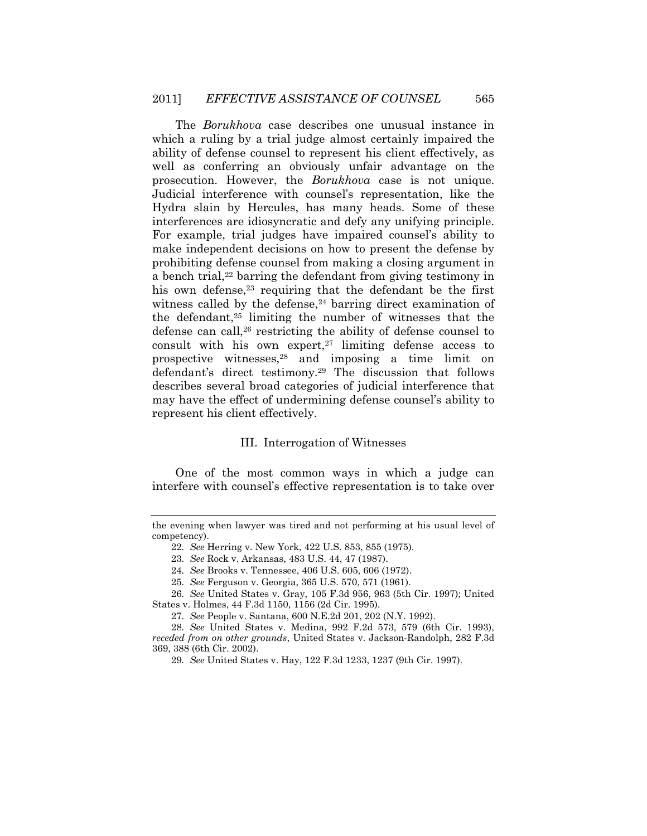The *Borukhova* case describes one unusual instance in which a ruling by a trial judge almost certainly impaired the ability of defense counsel to represent his client effectively, as well as conferring an obviously unfair advantage on the prosecution. However, the *Borukhova* case is not unique. Judicial interference with counsel"s representation, like the Hydra slain by Hercules, has many heads. Some of these interferences are idiosyncratic and defy any unifying principle. For example, trial judges have impaired counsel's ability to make independent decisions on how to present the defense by prohibiting defense counsel from making a closing argument in a bench trial,<sup>22</sup> barring the defendant from giving testimony in his own defense,<sup>23</sup> requiring that the defendant be the first witness called by the defense, $24$  barring direct examination of the defendant,25 limiting the number of witnesses that the defense can call,26 restricting the ability of defense counsel to consult with his own expert, $27$  limiting defense access to prospective witnesses,28 and imposing a time limit on defendant's direct testimony.<sup>29</sup> The discussion that follows describes several broad categories of judicial interference that may have the effect of undermining defense counsel's ability to represent his client effectively.

#### III. Interrogation of Witnesses

One of the most common ways in which a judge can interfere with counsel"s effective representation is to take over

the evening when lawyer was tired and not performing at his usual level of competency).

<sup>22</sup>*. See* Herring v. New York, 422 U.S. 853, 855 (1975).

<sup>23</sup>*. See* Rock v. Arkansas, 483 U.S. 44, 47 (1987).

<sup>24</sup>*. See* Brooks v. Tennessee, 406 U.S. 605, 606 (1972).

<sup>25</sup>*. See* Ferguson v. Georgia, 365 U.S. 570, 571 (1961).

<sup>26</sup>*. See* United States v. Gray, 105 F.3d 956, 963 (5th Cir. 1997); United States v. Holmes, 44 F.3d 1150, 1156 (2d Cir. 1995).

<sup>27</sup>*. See* People v. Santana, 600 N.E.2d 201, 202 (N.Y. 1992).

<sup>28</sup>*. See* United States v. Medina, 992 F.2d 573, 579 (6th Cir. 1993), *receded from on other grounds*, United States v. Jackson-Randolph, 282 F.3d 369, 388 (6th Cir. 2002).

<sup>29</sup>*. See* United States v. Hay, 122 F.3d 1233, 1237 (9th Cir. 1997).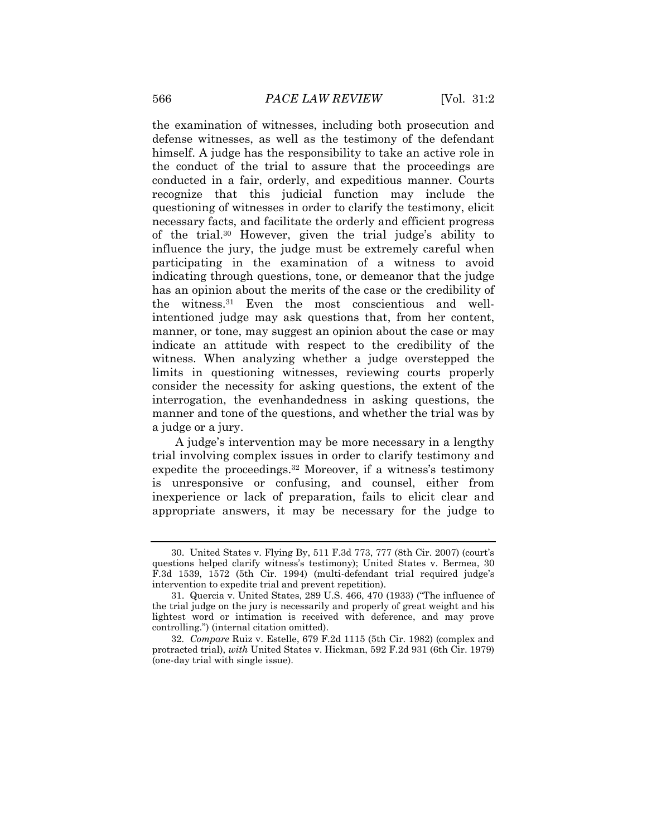the examination of witnesses, including both prosecution and defense witnesses, as well as the testimony of the defendant himself. A judge has the responsibility to take an active role in the conduct of the trial to assure that the proceedings are conducted in a fair, orderly, and expeditious manner. Courts recognize that this judicial function may include the questioning of witnesses in order to clarify the testimony, elicit necessary facts, and facilitate the orderly and efficient progress of the trial.<sup>30</sup> However, given the trial judge's ability to influence the jury, the judge must be extremely careful when participating in the examination of a witness to avoid indicating through questions, tone, or demeanor that the judge has an opinion about the merits of the case or the credibility of the witness.31 Even the most conscientious and wellintentioned judge may ask questions that, from her content, manner, or tone, may suggest an opinion about the case or may indicate an attitude with respect to the credibility of the witness. When analyzing whether a judge overstepped the limits in questioning witnesses, reviewing courts properly consider the necessity for asking questions, the extent of the interrogation, the evenhandedness in asking questions, the manner and tone of the questions, and whether the trial was by a judge or a jury.

A judge"s intervention may be more necessary in a lengthy trial involving complex issues in order to clarify testimony and expedite the proceedings.<sup>32</sup> Moreover, if a witness's testimony is unresponsive or confusing, and counsel, either from inexperience or lack of preparation, fails to elicit clear and appropriate answers, it may be necessary for the judge to

<sup>30.</sup> United States v. Flying By, 511 F.3d 773, 777 (8th Cir. 2007) (court"s questions helped clarify witness"s testimony); United States v. Bermea, 30 F.3d 1539, 1572 (5th Cir. 1994) (multi-defendant trial required judge's intervention to expedite trial and prevent repetition).

<sup>31.</sup> Quercia v. United States, 289 U.S. 466, 470 (1933) ("The influence of the trial judge on the jury is necessarily and properly of great weight and his lightest word or intimation is received with deference, and may prove controlling.") (internal citation omitted).

<sup>32</sup>*. Compare* Ruiz v. Estelle, 679 F.2d 1115 (5th Cir. 1982) (complex and protracted trial), *with* United States v. Hickman, 592 F.2d 931 (6th Cir. 1979) (one-day trial with single issue).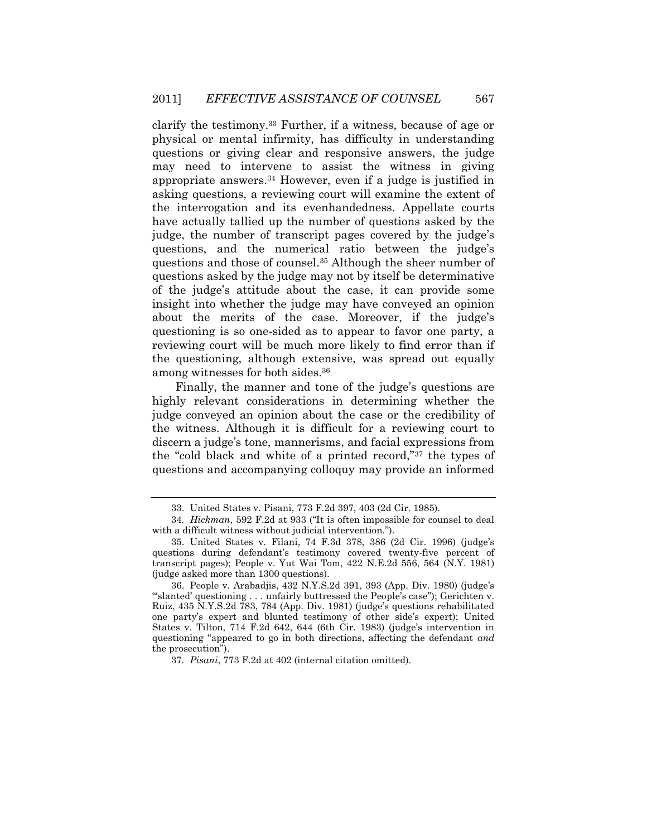clarify the testimony.33 Further, if a witness, because of age or physical or mental infirmity, has difficulty in understanding questions or giving clear and responsive answers, the judge may need to intervene to assist the witness in giving appropriate answers.34 However, even if a judge is justified in asking questions, a reviewing court will examine the extent of the interrogation and its evenhandedness. Appellate courts have actually tallied up the number of questions asked by the judge, the number of transcript pages covered by the judge's questions, and the numerical ratio between the judge's questions and those of counsel.35 Although the sheer number of questions asked by the judge may not by itself be determinative of the judge"s attitude about the case, it can provide some insight into whether the judge may have conveyed an opinion about the merits of the case. Moreover, if the judge's questioning is so one-sided as to appear to favor one party, a reviewing court will be much more likely to find error than if the questioning, although extensive, was spread out equally among witnesses for both sides.<sup>36</sup>

Finally, the manner and tone of the judge's questions are highly relevant considerations in determining whether the judge conveyed an opinion about the case or the credibility of the witness. Although it is difficult for a reviewing court to discern a judge's tone, mannerisms, and facial expressions from the "cold black and white of a printed record,"37 the types of questions and accompanying colloquy may provide an informed

<sup>33.</sup> United States v. Pisani, 773 F.2d 397, 403 (2d Cir. 1985).

<sup>34</sup>*. Hickman*, 592 F.2d at 933 ("It is often impossible for counsel to deal with a difficult witness without judicial intervention.").

<sup>35.</sup> United States v. Filani, 74 F.3d 378, 386 (2d Cir. 1996) (judge"s questions during defendant's testimony covered twenty-five percent of transcript pages); People v. Yut Wai Tom, 422 N.E.2d 556, 564 (N.Y. 1981) (judge asked more than 1300 questions).

<sup>36.</sup> People v. Arabadjis, 432 N.Y.S.2d 391, 393 (App. Div. 1980) (judge"s ""slanted" questioning . . . unfairly buttressed the People"s case"); Gerichten v. Ruiz, 435 N.Y.S.2d 783, 784 (App. Div. 1981) (judge"s questions rehabilitated one party"s expert and blunted testimony of other side"s expert); United States v. Tilton,  $714$  F.2d  $642$ ,  $644$  (6th Cir. 1983) (judge's intervention in questioning "appeared to go in both directions, affecting the defendant *and* the prosecution").

<sup>37</sup>*. Pisani*, 773 F.2d at 402 (internal citation omitted).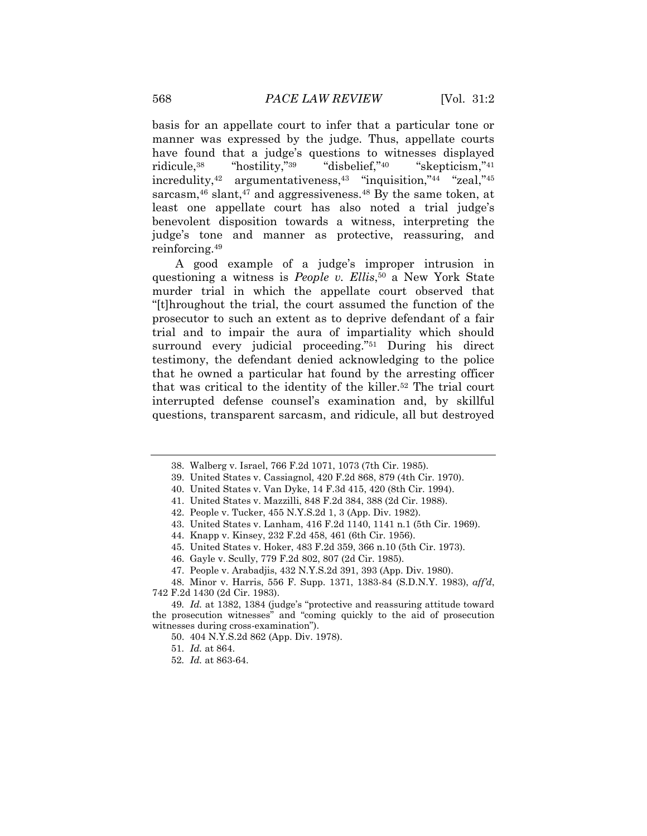basis for an appellate court to infer that a particular tone or manner was expressed by the judge. Thus, appellate courts have found that a judge's questions to witnesses displayed ridicule,<sup>38</sup> "hostility,"<sup>39</sup> "disbelief,"<sup>40</sup> "skepticism,"<sup>41</sup> incredulity, $42$  argumentativeness, $43$  "inquisition, $44$  "zeal, $45$ " sarcasm,<sup>46</sup> slant,<sup>47</sup> and aggressiveness.<sup>48</sup> By the same token, at least one appellate court has also noted a trial judge's benevolent disposition towards a witness, interpreting the judge"s tone and manner as protective, reassuring, and reinforcing.<sup>49</sup>

A good example of a judge's improper intrusion in questioning a witness is *People v. Ellis*, <sup>50</sup> a New York State murder trial in which the appellate court observed that "[t]hroughout the trial, the court assumed the function of the prosecutor to such an extent as to deprive defendant of a fair trial and to impair the aura of impartiality which should surround every judicial proceeding."51 During his direct testimony, the defendant denied acknowledging to the police that he owned a particular hat found by the arresting officer that was critical to the identity of the killer.52 The trial court interrupted defense counsel"s examination and, by skillful questions, transparent sarcasm, and ridicule, all but destroyed

<sup>38.</sup> Walberg v. Israel, 766 F.2d 1071, 1073 (7th Cir. 1985).

<sup>39.</sup> United States v. Cassiagnol, 420 F.2d 868, 879 (4th Cir. 1970).

<sup>40.</sup> United States v. Van Dyke, 14 F.3d 415, 420 (8th Cir. 1994).

<sup>41.</sup> United States v. Mazzilli, 848 F.2d 384, 388 (2d Cir. 1988).

<sup>42.</sup> People v. Tucker, 455 N.Y.S.2d 1, 3 (App. Div. 1982).

<sup>43.</sup> United States v. Lanham, 416 F.2d 1140, 1141 n.1 (5th Cir. 1969).

<sup>44.</sup> Knapp v. Kinsey, 232 F.2d 458, 461 (6th Cir. 1956).

<sup>45.</sup> United States v. Hoker, 483 F.2d 359, 366 n.10 (5th Cir. 1973).

<sup>46.</sup> Gayle v. Scully, 779 F.2d 802, 807 (2d Cir. 1985).

<sup>47.</sup> People v. Arabadjis, 432 N.Y.S.2d 391, 393 (App. Div. 1980).

<sup>48.</sup> Minor v. Harris, 556 F. Supp. 1371, 1383-84 (S.D.N.Y. 1983), *aff'd*, 742 F.2d 1430 (2d Cir. 1983).

<sup>49</sup>*. Id.* at 1382, 1384 (judge"s "protective and reassuring attitude toward the prosecution witnesses" and "coming quickly to the aid of prosecution witnesses during cross-examination").

<sup>50. 404</sup> N.Y.S.2d 862 (App. Div. 1978).

<sup>51</sup>*. Id.* at 864.

<sup>52</sup>*. Id.* at 863-64.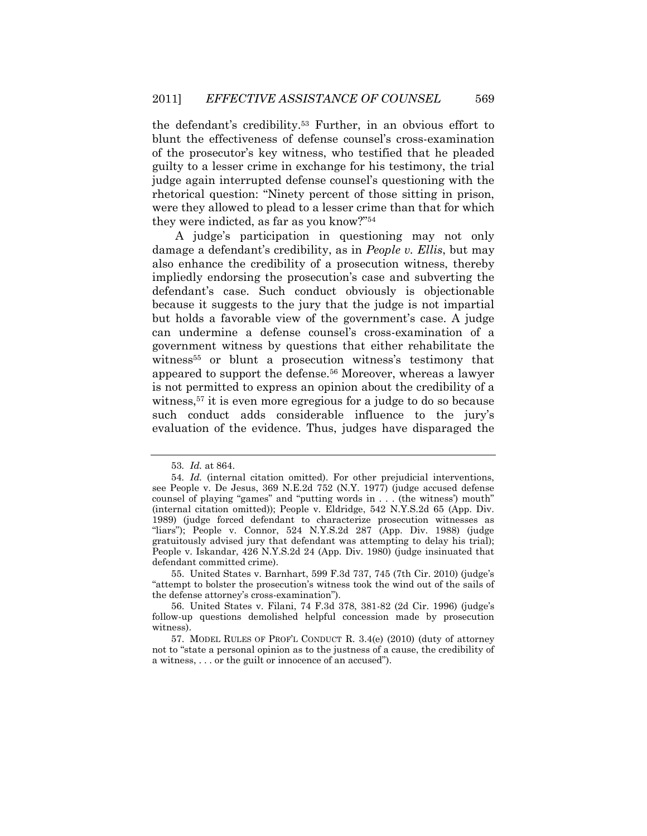the defendant's credibility.<sup>53</sup> Further, in an obvious effort to blunt the effectiveness of defense counsel"s cross-examination of the prosecutor"s key witness, who testified that he pleaded guilty to a lesser crime in exchange for his testimony, the trial judge again interrupted defense counsel's questioning with the rhetorical question: "Ninety percent of those sitting in prison, were they allowed to plead to a lesser crime than that for which they were indicted, as far as you know?"<sup>54</sup>

A judge"s participation in questioning may not only damage a defendant"s credibility, as in *People v. Ellis*, but may also enhance the credibility of a prosecution witness, thereby impliedly endorsing the prosecution's case and subverting the defendant's case. Such conduct obviously is objectionable because it suggests to the jury that the judge is not impartial but holds a favorable view of the government's case. A judge can undermine a defense counsel"s cross-examination of a government witness by questions that either rehabilitate the witness<sup>55</sup> or blunt a prosecution witness's testimony that appeared to support the defense.56 Moreover, whereas a lawyer is not permitted to express an opinion about the credibility of a witness,57 it is even more egregious for a judge to do so because such conduct adds considerable influence to the jury's evaluation of the evidence. Thus, judges have disparaged the

55. United States v. Barnhart, 599 F.3d 737, 745 (7th Cir. 2010) (judge"s "attempt to bolster the prosecution"s witness took the wind out of the sails of the defense attorney"s cross-examination").

<sup>53</sup>*. Id.* at 864.

<sup>54</sup>*. Id.* (internal citation omitted). For other prejudicial interventions, see People v. De Jesus, 369 N.E.2d 752 (N.Y. 1977) (judge accused defense counsel of playing "games" and "putting words in . . . (the witness') mouth" (internal citation omitted)); People v. Eldridge, 542 N.Y.S.2d 65 (App. Div. 1989) (judge forced defendant to characterize prosecution witnesses as "liars"); People v. Connor, 524 N.Y.S.2d 287 (App. Div. 1988) (judge gratuitously advised jury that defendant was attempting to delay his trial); People v. Iskandar, 426 N.Y.S.2d 24 (App. Div. 1980) (judge insinuated that defendant committed crime).

<sup>56.</sup> United States v. Filani, 74 F.3d 378, 381-82 (2d Cir. 1996) (judge"s follow-up questions demolished helpful concession made by prosecution witness).

<sup>57.</sup> MODEL RULES OF PROF'L CONDUCT R. 3.4(e) (2010) (duty of attorney not to "state a personal opinion as to the justness of a cause, the credibility of a witness, . . . or the guilt or innocence of an accused").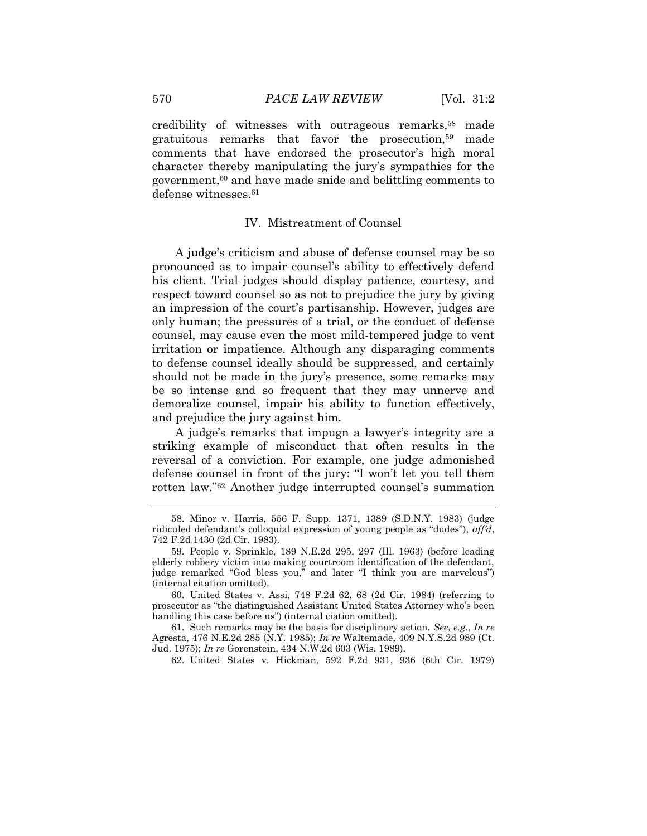credibility of witnesses with outrageous remarks,<sup>58</sup> made gratuitous remarks that favor the prosecution,59 made comments that have endorsed the prosecutor's high moral character thereby manipulating the jury"s sympathies for the government,60 and have made snide and belittling comments to defense witnesses.<sup>61</sup>

#### IV. Mistreatment of Counsel

A judge"s criticism and abuse of defense counsel may be so pronounced as to impair counsel"s ability to effectively defend his client. Trial judges should display patience, courtesy, and respect toward counsel so as not to prejudice the jury by giving an impression of the court's partisanship. However, judges are only human; the pressures of a trial, or the conduct of defense counsel, may cause even the most mild-tempered judge to vent irritation or impatience. Although any disparaging comments to defense counsel ideally should be suppressed, and certainly should not be made in the jury's presence, some remarks may be so intense and so frequent that they may unnerve and demoralize counsel, impair his ability to function effectively, and prejudice the jury against him.

A judge"s remarks that impugn a lawyer"s integrity are a striking example of misconduct that often results in the reversal of a conviction. For example, one judge admonished defense counsel in front of the jury: "I won"t let you tell them rotten law."<sup>62</sup> Another judge interrupted counsel's summation

62. United States v. Hickman, 592 F.2d 931, 936 (6th Cir. 1979)

<sup>58.</sup> Minor v. Harris, 556 F. Supp. 1371, 1389 (S.D.N.Y. 1983) (judge ridiculed defendant's colloquial expression of young people as "dudes"), *affd*, 742 F.2d 1430 (2d Cir. 1983).

<sup>59.</sup> People v. Sprinkle, 189 N.E.2d 295, 297 (Ill. 1963) (before leading elderly robbery victim into making courtroom identification of the defendant, judge remarked "God bless you," and later "I think you are marvelous") (internal citation omitted).

<sup>60.</sup> United States v. Assi, 748 F.2d 62, 68 (2d Cir. 1984) (referring to prosecutor as "the distinguished Assistant United States Attorney who"s been handling this case before us") (internal ciation omitted).

<sup>61.</sup> Such remarks may be the basis for disciplinary action. *See, e.g.*, *In re* Agresta, 476 N.E.2d 285 (N.Y. 1985); *In re* Waltemade, 409 N.Y.S.2d 989 (Ct. Jud. 1975); *In re* Gorenstein, 434 N.W.2d 603 (Wis. 1989).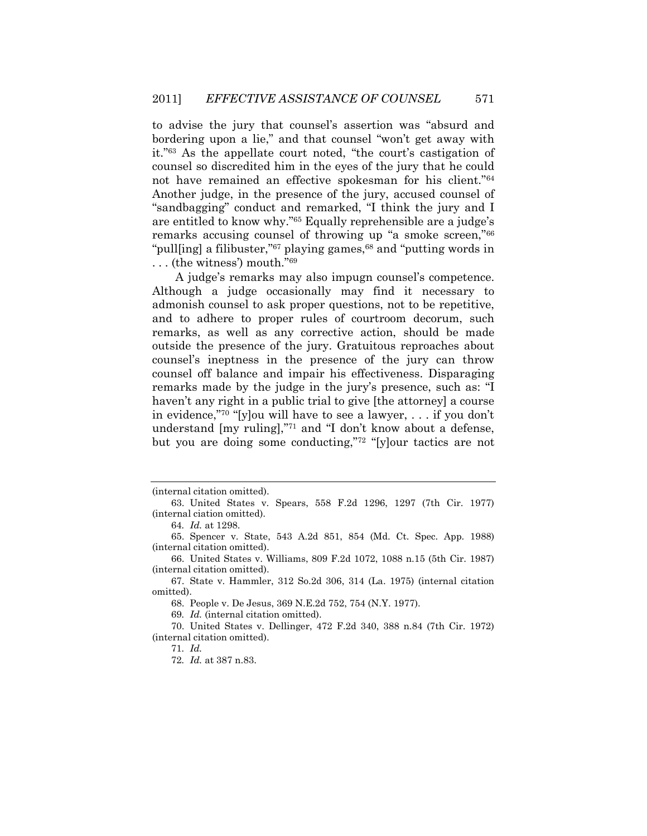to advise the jury that counsel"s assertion was "absurd and bordering upon a lie," and that counsel "won"t get away with it."<sup>63</sup> As the appellate court noted, "the court's castigation of counsel so discredited him in the eyes of the jury that he could not have remained an effective spokesman for his client."<sup>64</sup> Another judge, in the presence of the jury, accused counsel of "sandbagging" conduct and remarked, "I think the jury and I are entitled to know why."<sup>65</sup> Equally reprehensible are a judge"s remarks accusing counsel of throwing up "a smoke screen,"<sup>66</sup> "pull[ing] a filibuster," $67$  playing games, $68$  and "putting words in ... (the witness') mouth."<sup>69</sup>

A judge"s remarks may also impugn counsel"s competence. Although a judge occasionally may find it necessary to admonish counsel to ask proper questions, not to be repetitive, and to adhere to proper rules of courtroom decorum, such remarks, as well as any corrective action, should be made outside the presence of the jury. Gratuitous reproaches about counsel"s ineptness in the presence of the jury can throw counsel off balance and impair his effectiveness. Disparaging remarks made by the judge in the jury's presence, such as: "I haven't any right in a public trial to give [the attorney] a course in evidence,"<sup>70</sup> "[y]ou will have to see a lawyer, ... if you don't understand [my ruling],"71 and "I don't know about a defense, but you are doing some conducting,"<sup>72</sup> "[y]our tactics are not

69*. Id.* (internal citation omitted).

<sup>(</sup>internal citation omitted).

<sup>63.</sup> United States v. Spears, 558 F.2d 1296, 1297 (7th Cir. 1977) (internal ciation omitted).

<sup>64</sup>*. Id.* at 1298.

<sup>65.</sup> Spencer v. State, 543 A.2d 851, 854 (Md. Ct. Spec. App. 1988) (internal citation omitted).

<sup>66.</sup> United States v. Williams, 809 F.2d 1072, 1088 n.15 (5th Cir. 1987) (internal citation omitted).

<sup>67.</sup> State v. Hammler, 312 So.2d 306, 314 (La. 1975) (internal citation omitted).

<sup>68.</sup> People v. De Jesus, 369 N.E.2d 752, 754 (N.Y. 1977).

<sup>70.</sup> United States v. Dellinger, 472 F.2d 340, 388 n.84 (7th Cir. 1972) (internal citation omitted).

<sup>71</sup>*. Id.*

<sup>72</sup>*. Id.* at 387 n.83.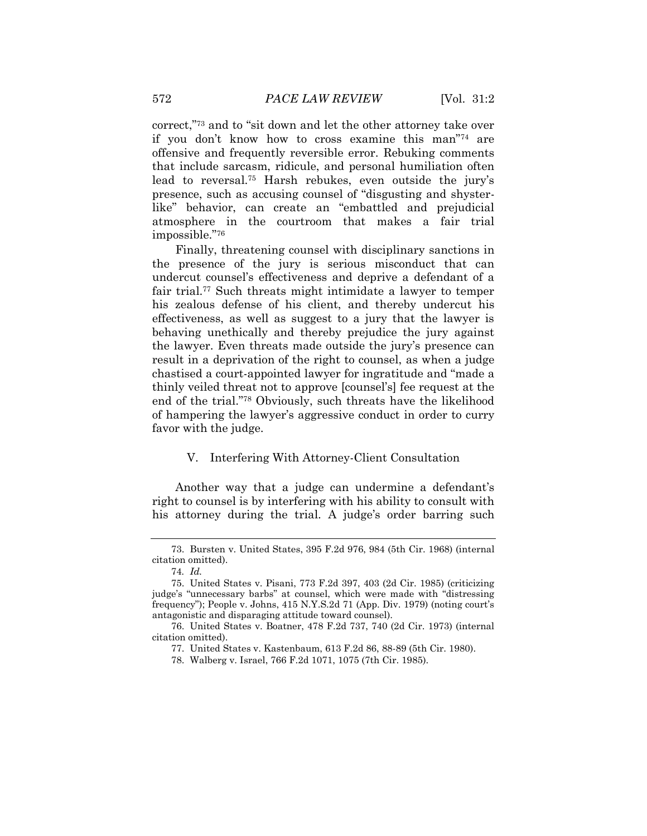correct,"<sup>73</sup> and to "sit down and let the other attorney take over if you don"t know how to cross examine this man"74 are offensive and frequently reversible error. Rebuking comments that include sarcasm, ridicule, and personal humiliation often lead to reversal.<sup>75</sup> Harsh rebukes, even outside the jury's presence, such as accusing counsel of "disgusting and shysterlike" behavior, can create an "embattled and prejudicial atmosphere in the courtroom that makes a fair trial impossible."<sup>76</sup>

Finally, threatening counsel with disciplinary sanctions in the presence of the jury is serious misconduct that can undercut counsel"s effectiveness and deprive a defendant of a fair trial.<sup>77</sup> Such threats might intimidate a lawyer to temper his zealous defense of his client, and thereby undercut his effectiveness, as well as suggest to a jury that the lawyer is behaving unethically and thereby prejudice the jury against the lawyer. Even threats made outside the jury's presence can result in a deprivation of the right to counsel, as when a judge chastised a court-appointed lawyer for ingratitude and "made a thinly veiled threat not to approve [counsel"s] fee request at the end of the trial."78 Obviously, such threats have the likelihood of hampering the lawyer"s aggressive conduct in order to curry favor with the judge.

#### V. Interfering With Attorney-Client Consultation

Another way that a judge can undermine a defendant's right to counsel is by interfering with his ability to consult with his attorney during the trial. A judge's order barring such

78. Walberg v. Israel, 766 F.2d 1071, 1075 (7th Cir. 1985).

<sup>73.</sup> Bursten v. United States, 395 F.2d 976, 984 (5th Cir. 1968) (internal citation omitted).

<sup>74</sup>*. Id.*

<sup>75.</sup> United States v. Pisani, 773 F.2d 397, 403 (2d Cir. 1985) (criticizing judge"s "unnecessary barbs" at counsel, which were made with "distressing frequency"); People v. Johns, 415 N.Y.S.2d 71 (App. Div. 1979) (noting court"s antagonistic and disparaging attitude toward counsel).

<sup>76.</sup> United States v. Boatner, 478 F.2d 737, 740 (2d Cir. 1973) (internal citation omitted).

<sup>77.</sup> United States v. Kastenbaum, 613 F.2d 86, 88-89 (5th Cir. 1980).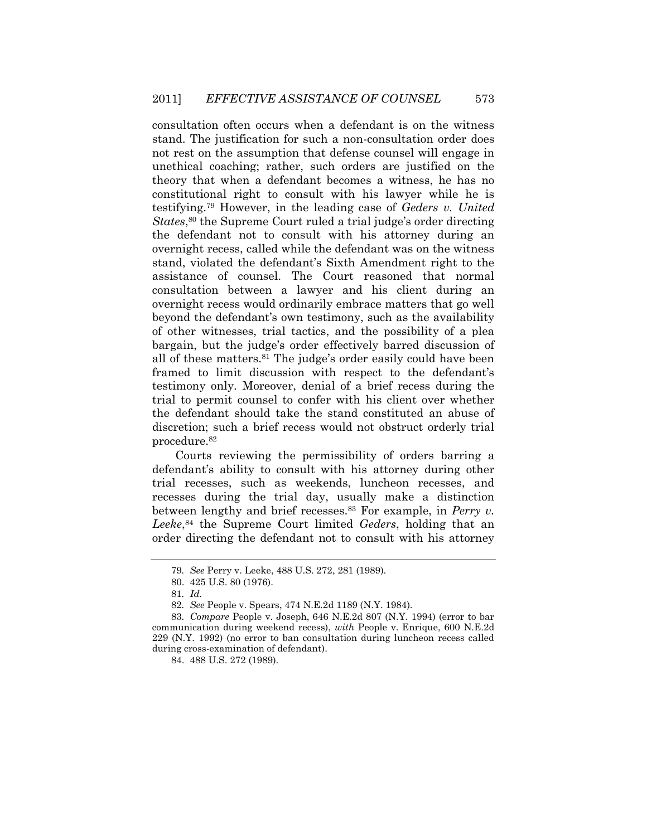consultation often occurs when a defendant is on the witness stand. The justification for such a non-consultation order does not rest on the assumption that defense counsel will engage in unethical coaching; rather, such orders are justified on the theory that when a defendant becomes a witness, he has no constitutional right to consult with his lawyer while he is testifying.79 However, in the leading case of *Geders v. United*  States,<sup>80</sup> the Supreme Court ruled a trial judge's order directing the defendant not to consult with his attorney during an overnight recess, called while the defendant was on the witness stand, violated the defendant's Sixth Amendment right to the assistance of counsel. The Court reasoned that normal consultation between a lawyer and his client during an overnight recess would ordinarily embrace matters that go well beyond the defendant"s own testimony, such as the availability of other witnesses, trial tactics, and the possibility of a plea bargain, but the judge's order effectively barred discussion of all of these matters.<sup>81</sup> The judge's order easily could have been framed to limit discussion with respect to the defendant's testimony only. Moreover, denial of a brief recess during the trial to permit counsel to confer with his client over whether the defendant should take the stand constituted an abuse of discretion; such a brief recess would not obstruct orderly trial procedure.<sup>82</sup>

Courts reviewing the permissibility of orders barring a defendant's ability to consult with his attorney during other trial recesses, such as weekends, luncheon recesses, and recesses during the trial day, usually make a distinction between lengthy and brief recesses.83 For example, in *Perry v. Leeke*, <sup>84</sup> the Supreme Court limited *Geders*, holding that an order directing the defendant not to consult with his attorney

<sup>79</sup>*. See* Perry v. Leeke, 488 U.S. 272, 281 (1989).

<sup>80. 425</sup> U.S. 80 (1976).

<sup>81</sup>*. Id.*

<sup>82</sup>*. See* People v. Spears, 474 N.E.2d 1189 (N.Y. 1984).

<sup>83</sup>*. Compare* People v. Joseph, 646 N.E.2d 807 (N.Y. 1994) (error to bar communication during weekend recess), *with* People v. Enrique, 600 N.E.2d 229 (N.Y. 1992) (no error to ban consultation during luncheon recess called during cross-examination of defendant).

<sup>84. 488</sup> U.S. 272 (1989).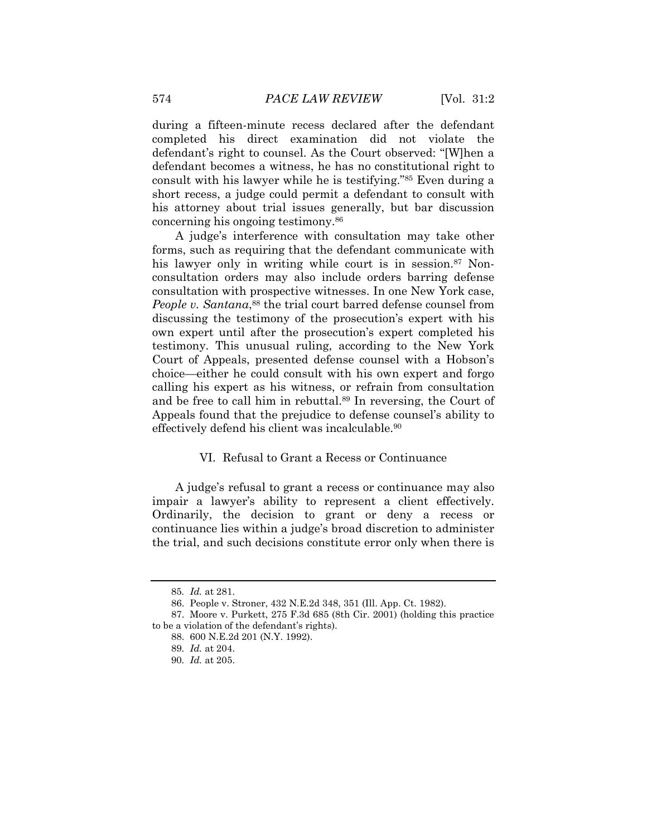during a fifteen-minute recess declared after the defendant completed his direct examination did not violate the defendant's right to counsel. As the Court observed: "[W]hen a defendant becomes a witness, he has no constitutional right to consult with his lawyer while he is testifying."85 Even during a short recess, a judge could permit a defendant to consult with his attorney about trial issues generally, but bar discussion concerning his ongoing testimony.<sup>86</sup>

A judge"s interference with consultation may take other forms, such as requiring that the defendant communicate with his lawyer only in writing while court is in session.<sup>87</sup> Nonconsultation orders may also include orders barring defense consultation with prospective witnesses. In one New York case, *People v. Santana*, <sup>88</sup> the trial court barred defense counsel from discussing the testimony of the prosecution's expert with his own expert until after the prosecution's expert completed his testimony. This unusual ruling, according to the New York Court of Appeals, presented defense counsel with a Hobson"s choice—either he could consult with his own expert and forgo calling his expert as his witness, or refrain from consultation and be free to call him in rebuttal.<sup>89</sup> In reversing, the Court of Appeals found that the prejudice to defense counsel's ability to effectively defend his client was incalculable.<sup>90</sup>

## VI. Refusal to Grant a Recess or Continuance

A judge's refusal to grant a recess or continuance may also impair a lawyer's ability to represent a client effectively. Ordinarily, the decision to grant or deny a recess or continuance lies within a judge"s broad discretion to administer the trial, and such decisions constitute error only when there is

<sup>85</sup>*. Id.* at 281.

<sup>86.</sup> People v. Stroner, 432 N.E.2d 348, 351 (Ill. App. Ct. 1982).

<sup>87.</sup> Moore v. Purkett, 275 F.3d 685 (8th Cir. 2001) (holding this practice to be a violation of the defendant's rights).

<sup>88. 600</sup> N.E.2d 201 (N.Y. 1992).

<sup>89</sup>*. Id.* at 204.

<sup>90</sup>*. Id.* at 205.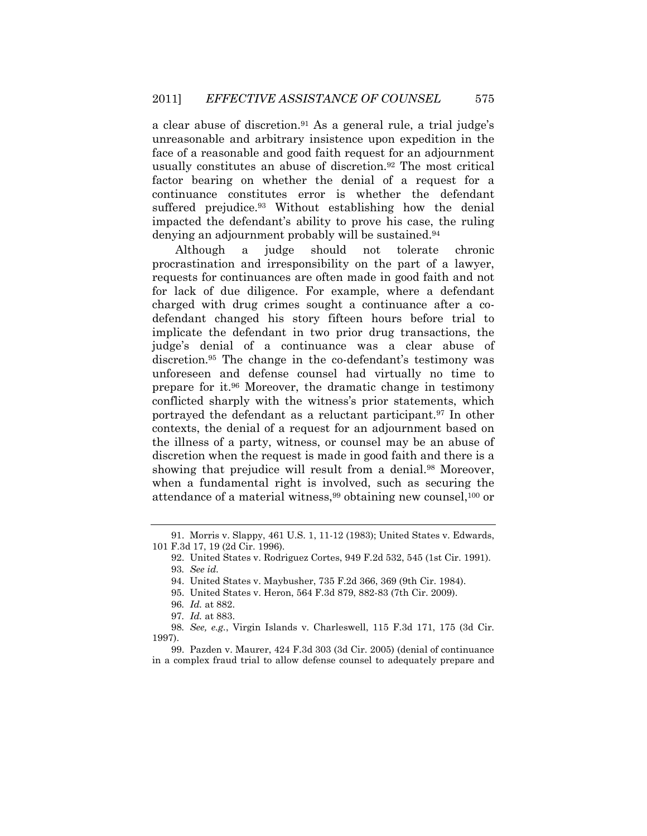a clear abuse of discretion.<sup>91</sup> As a general rule, a trial judge's unreasonable and arbitrary insistence upon expedition in the face of a reasonable and good faith request for an adjournment usually constitutes an abuse of discretion.<sup>92</sup> The most critical factor bearing on whether the denial of a request for a continuance constitutes error is whether the defendant suffered prejudice.<sup>93</sup> Without establishing how the denial impacted the defendant"s ability to prove his case, the ruling denying an adjournment probably will be sustained.<sup>94</sup>

Although a judge should not tolerate chronic procrastination and irresponsibility on the part of a lawyer, requests for continuances are often made in good faith and not for lack of due diligence. For example, where a defendant charged with drug crimes sought a continuance after a codefendant changed his story fifteen hours before trial to implicate the defendant in two prior drug transactions, the judge"s denial of a continuance was a clear abuse of discretion.<sup>95</sup> The change in the co-defendant's testimony was unforeseen and defense counsel had virtually no time to prepare for it.96 Moreover, the dramatic change in testimony conflicted sharply with the witness"s prior statements, which portrayed the defendant as a reluctant participant.97 In other contexts, the denial of a request for an adjournment based on the illness of a party, witness, or counsel may be an abuse of discretion when the request is made in good faith and there is a showing that prejudice will result from a denial.<sup>98</sup> Moreover, when a fundamental right is involved, such as securing the attendance of a material witness,99 obtaining new counsel,100 or

<sup>91.</sup> Morris v. Slappy, 461 U.S. 1, 11-12 (1983); United States v. Edwards, 101 F.3d 17, 19 (2d Cir. 1996).

<sup>92.</sup> United States v. Rodriguez Cortes, 949 F.2d 532, 545 (1st Cir. 1991). 93*. See id.*

<sup>94.</sup> United States v. Maybusher, 735 F.2d 366, 369 (9th Cir. 1984).

<sup>95.</sup> United States v. Heron, 564 F.3d 879, 882-83 (7th Cir. 2009).

<sup>96</sup>*. Id.* at 882.

<sup>97</sup>*. Id.* at 883.

<sup>98</sup>*. See, e.g.*, Virgin Islands v. Charleswell, 115 F.3d 171, 175 (3d Cir. 1997).

<sup>99.</sup> Pazden v. Maurer, 424 F.3d 303 (3d Cir. 2005) (denial of continuance in a complex fraud trial to allow defense counsel to adequately prepare and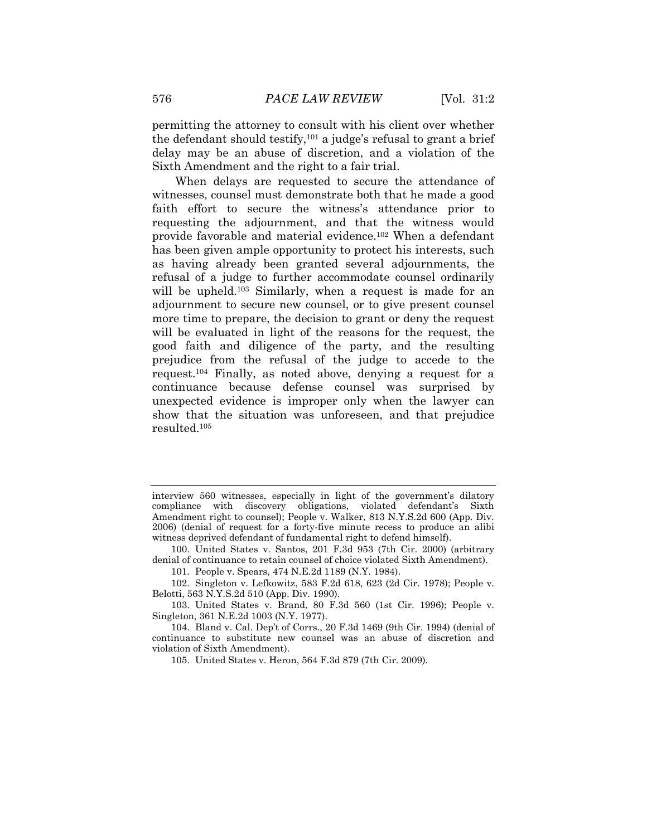permitting the attorney to consult with his client over whether the defendant should testify,<sup>101</sup> a judge's refusal to grant a brief delay may be an abuse of discretion, and a violation of the Sixth Amendment and the right to a fair trial.

When delays are requested to secure the attendance of witnesses, counsel must demonstrate both that he made a good faith effort to secure the witness's attendance prior to requesting the adjournment, and that the witness would provide favorable and material evidence.102 When a defendant has been given ample opportunity to protect his interests, such as having already been granted several adjournments, the refusal of a judge to further accommodate counsel ordinarily will be upheld.<sup>103</sup> Similarly, when a request is made for an adjournment to secure new counsel, or to give present counsel more time to prepare, the decision to grant or deny the request will be evaluated in light of the reasons for the request, the good faith and diligence of the party, and the resulting prejudice from the refusal of the judge to accede to the request.104 Finally, as noted above, denying a request for a continuance because defense counsel was surprised by unexpected evidence is improper only when the lawyer can show that the situation was unforeseen, and that prejudice resulted.<sup>105</sup>

101. People v. Spears, 474 N.E.2d 1189 (N.Y. 1984).

102. Singleton v. Lefkowitz, 583 F.2d 618, 623 (2d Cir. 1978); People v. Belotti, 563 N.Y.S.2d 510 (App. Div. 1990).

103. United States v. Brand, 80 F.3d 560 (1st Cir. 1996); People v. Singleton, 361 N.E.2d 1003 (N.Y. 1977).

105. United States v. Heron, 564 F.3d 879 (7th Cir. 2009).

interview 560 witnesses, especially in light of the government's dilatory compliance with discovery obligations, violated defendant's Sixth Amendment right to counsel); People v. Walker, 813 N.Y.S.2d 600 (App. Div. 2006) (denial of request for a forty-five minute recess to produce an alibi witness deprived defendant of fundamental right to defend himself).

<sup>100.</sup> United States v. Santos, 201 F.3d 953 (7th Cir. 2000) (arbitrary denial of continuance to retain counsel of choice violated Sixth Amendment).

<sup>104.</sup> Bland v. Cal. Dep"t of Corrs., 20 F.3d 1469 (9th Cir. 1994) (denial of continuance to substitute new counsel was an abuse of discretion and violation of Sixth Amendment).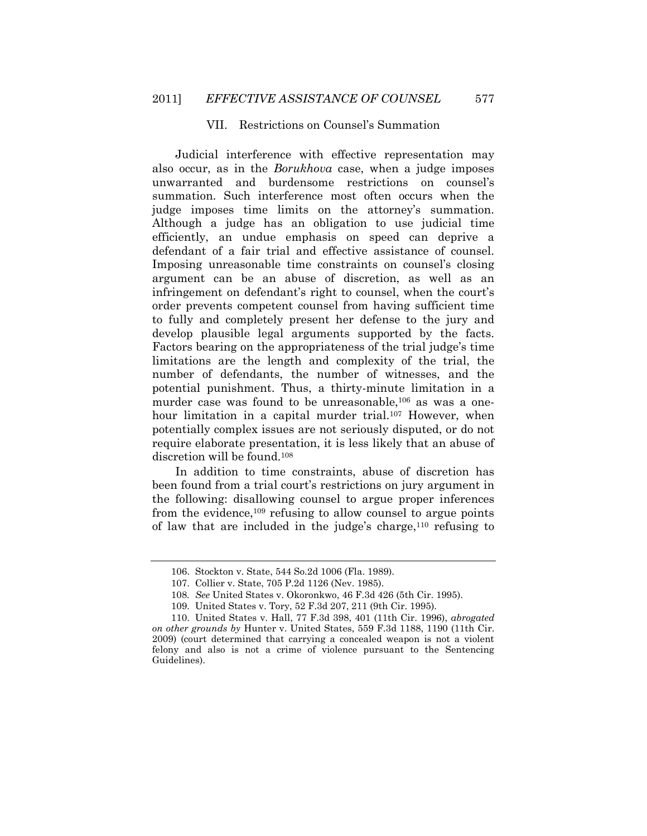#### VII. Restrictions on Counsel"s Summation

Judicial interference with effective representation may also occur, as in the *Borukhova* case, when a judge imposes unwarranted and burdensome restrictions on counsel"s summation. Such interference most often occurs when the judge imposes time limits on the attorney's summation. Although a judge has an obligation to use judicial time efficiently, an undue emphasis on speed can deprive a defendant of a fair trial and effective assistance of counsel. Imposing unreasonable time constraints on counsel's closing argument can be an abuse of discretion, as well as an infringement on defendant's right to counsel, when the court's order prevents competent counsel from having sufficient time to fully and completely present her defense to the jury and develop plausible legal arguments supported by the facts. Factors bearing on the appropriateness of the trial judge's time limitations are the length and complexity of the trial, the number of defendants, the number of witnesses, and the potential punishment. Thus, a thirty-minute limitation in a murder case was found to be unreasonable,<sup>106</sup> as was a onehour limitation in a capital murder trial.<sup>107</sup> However, when potentially complex issues are not seriously disputed, or do not require elaborate presentation, it is less likely that an abuse of discretion will be found.<sup>108</sup>

In addition to time constraints, abuse of discretion has been found from a trial court's restrictions on jury argument in the following: disallowing counsel to argue proper inferences from the evidence,<sup>109</sup> refusing to allow counsel to argue points of law that are included in the judge's charge,  $110$  refusing to

<sup>106.</sup> Stockton v. State, 544 So.2d 1006 (Fla. 1989).

<sup>107.</sup> Collier v. State, 705 P.2d 1126 (Nev. 1985).

<sup>108</sup>*. See* United States v. Okoronkwo, 46 F.3d 426 (5th Cir. 1995).

<sup>109.</sup> United States v. Tory, 52 F.3d 207, 211 (9th Cir. 1995).

<sup>110.</sup> United States v. Hall, 77 F.3d 398, 401 (11th Cir. 1996), *abrogated on other grounds by* Hunter v. United States, 559 F.3d 1188, 1190 (11th Cir. 2009) (court determined that carrying a concealed weapon is not a violent felony and also is not a crime of violence pursuant to the Sentencing Guidelines).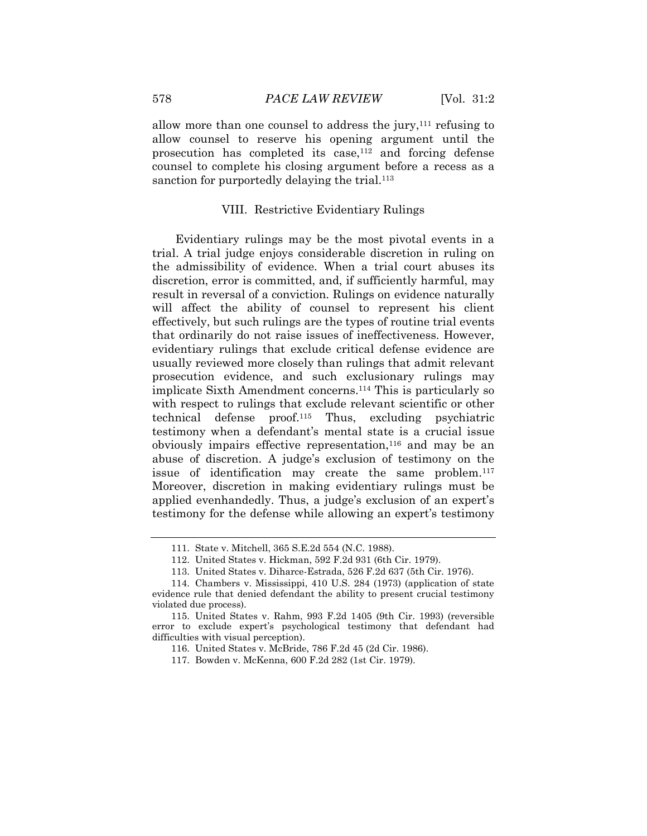allow more than one counsel to address the jury, $111$  refusing to allow counsel to reserve his opening argument until the prosecution has completed its case,112 and forcing defense counsel to complete his closing argument before a recess as a sanction for purportedly delaying the trial.<sup>113</sup>

#### VIII. Restrictive Evidentiary Rulings

Evidentiary rulings may be the most pivotal events in a trial. A trial judge enjoys considerable discretion in ruling on the admissibility of evidence. When a trial court abuses its discretion, error is committed, and, if sufficiently harmful, may result in reversal of a conviction. Rulings on evidence naturally will affect the ability of counsel to represent his client effectively, but such rulings are the types of routine trial events that ordinarily do not raise issues of ineffectiveness. However, evidentiary rulings that exclude critical defense evidence are usually reviewed more closely than rulings that admit relevant prosecution evidence, and such exclusionary rulings may implicate Sixth Amendment concerns.114 This is particularly so with respect to rulings that exclude relevant scientific or other technical defense proof.115 Thus, excluding psychiatric testimony when a defendant's mental state is a crucial issue obviously impairs effective representation,<sup>116</sup> and may be an abuse of discretion. A judge's exclusion of testimony on the issue of identification may create the same problem.<sup>117</sup> Moreover, discretion in making evidentiary rulings must be applied evenhandedly. Thus, a judge's exclusion of an expert's testimony for the defense while allowing an expert's testimony

113. United States v. Diharce-Estrada, 526 F.2d 637 (5th Cir. 1976).

<sup>111.</sup> State v. Mitchell, 365 S.E.2d 554 (N.C. 1988).

<sup>112.</sup> United States v. Hickman, 592 F.2d 931 (6th Cir. 1979).

<sup>114.</sup> Chambers v. Mississippi, 410 U.S. 284 (1973) (application of state evidence rule that denied defendant the ability to present crucial testimony violated due process).

<sup>115.</sup> United States v. Rahm, 993 F.2d 1405 (9th Cir. 1993) (reversible error to exclude expert's psychological testimony that defendant had difficulties with visual perception).

<sup>116.</sup> United States v. McBride, 786 F.2d 45 (2d Cir. 1986).

<sup>117.</sup> Bowden v. McKenna, 600 F.2d 282 (1st Cir. 1979).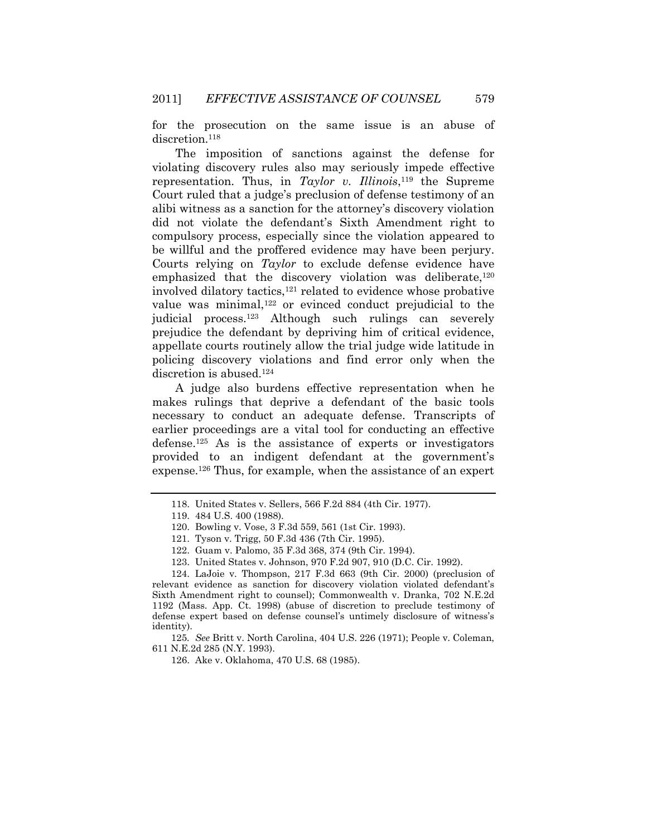for the prosecution on the same issue is an abuse of discretion.<sup>118</sup>

The imposition of sanctions against the defense for violating discovery rules also may seriously impede effective representation. Thus, in *Taylor v. Illinois*, <sup>119</sup> the Supreme Court ruled that a judge's preclusion of defense testimony of an alibi witness as a sanction for the attorney"s discovery violation did not violate the defendant"s Sixth Amendment right to compulsory process, especially since the violation appeared to be willful and the proffered evidence may have been perjury. Courts relying on *Taylor* to exclude defense evidence have emphasized that the discovery violation was deliberate,<sup>120</sup> involved dilatory tactics,121 related to evidence whose probative value was minimal,122 or evinced conduct prejudicial to the judicial process.123 Although such rulings can severely prejudice the defendant by depriving him of critical evidence, appellate courts routinely allow the trial judge wide latitude in policing discovery violations and find error only when the discretion is abused.<sup>124</sup>

A judge also burdens effective representation when he makes rulings that deprive a defendant of the basic tools necessary to conduct an adequate defense. Transcripts of earlier proceedings are a vital tool for conducting an effective defense.125 As is the assistance of experts or investigators provided to an indigent defendant at the government's expense.126 Thus, for example, when the assistance of an expert

124. LaJoie v. Thompson, 217 F.3d 663 (9th Cir. 2000) (preclusion of relevant evidence as sanction for discovery violation violated defendant's Sixth Amendment right to counsel); Commonwealth v. Dranka, 702 N.E.2d 1192 (Mass. App. Ct. 1998) (abuse of discretion to preclude testimony of defense expert based on defense counsel"s untimely disclosure of witness"s identity).

125*. See* Britt v. North Carolina, 404 U.S. 226 (1971); People v. Coleman, 611 N.E.2d 285 (N.Y. 1993).

126. Ake v. Oklahoma, 470 U.S. 68 (1985).

<sup>118.</sup> United States v. Sellers, 566 F.2d 884 (4th Cir. 1977).

<sup>119. 484</sup> U.S. 400 (1988).

<sup>120.</sup> Bowling v. Vose, 3 F.3d 559, 561 (1st Cir. 1993).

<sup>121.</sup> Tyson v. Trigg, 50 F.3d 436 (7th Cir. 1995).

<sup>122.</sup> Guam v. Palomo, 35 F.3d 368, 374 (9th Cir. 1994).

<sup>123.</sup> United States v. Johnson, 970 F.2d 907, 910 (D.C. Cir. 1992).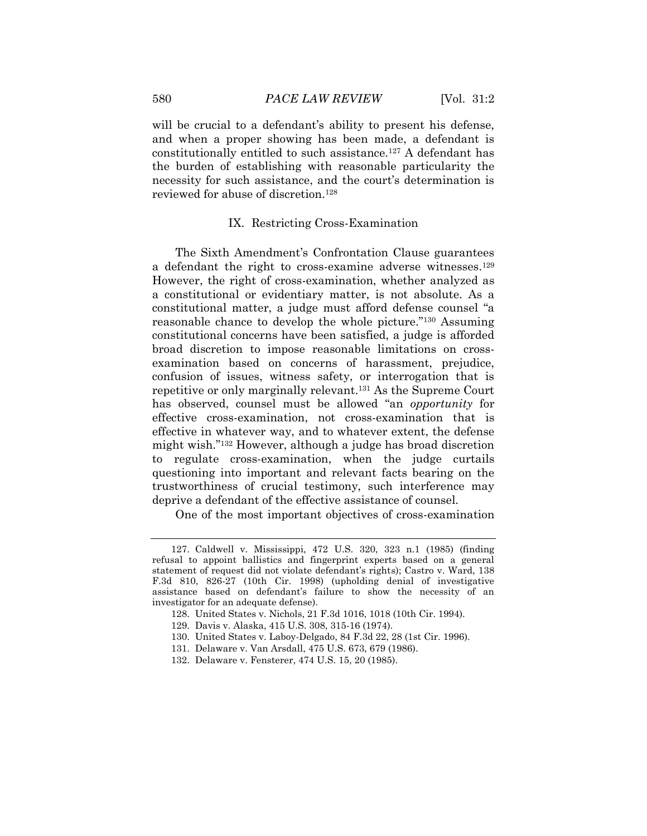will be crucial to a defendant's ability to present his defense, and when a proper showing has been made, a defendant is constitutionally entitled to such assistance.127 A defendant has the burden of establishing with reasonable particularity the necessity for such assistance, and the court's determination is reviewed for abuse of discretion.<sup>128</sup>

#### IX. Restricting Cross-Examination

The Sixth Amendment's Confrontation Clause guarantees a defendant the right to cross-examine adverse witnesses.<sup>129</sup> However, the right of cross-examination, whether analyzed as a constitutional or evidentiary matter, is not absolute. As a constitutional matter, a judge must afford defense counsel "a reasonable chance to develop the whole picture."130 Assuming constitutional concerns have been satisfied, a judge is afforded broad discretion to impose reasonable limitations on crossexamination based on concerns of harassment, prejudice, confusion of issues, witness safety, or interrogation that is repetitive or only marginally relevant.131 As the Supreme Court has observed, counsel must be allowed "an *opportunity* for effective cross-examination, not cross-examination that is effective in whatever way, and to whatever extent, the defense might wish."132 However, although a judge has broad discretion to regulate cross-examination, when the judge curtails questioning into important and relevant facts bearing on the trustworthiness of crucial testimony, such interference may deprive a defendant of the effective assistance of counsel.

One of the most important objectives of cross-examination

<sup>127.</sup> Caldwell v. Mississippi, 472 U.S. 320, 323 n.1 (1985) (finding refusal to appoint ballistics and fingerprint experts based on a general statement of request did not violate defendant"s rights); Castro v. Ward, 138 F.3d 810, 826-27 (10th Cir. 1998) (upholding denial of investigative assistance based on defendant's failure to show the necessity of an investigator for an adequate defense).

<sup>128.</sup> United States v. Nichols, 21 F.3d 1016, 1018 (10th Cir. 1994).

<sup>129.</sup> Davis v. Alaska, 415 U.S. 308, 315-16 (1974).

<sup>130.</sup> United States v. Laboy-Delgado, 84 F.3d 22, 28 (1st Cir. 1996).

<sup>131.</sup> Delaware v. Van Arsdall, 475 U.S. 673, 679 (1986).

<sup>132.</sup> Delaware v. Fensterer, 474 U.S. 15, 20 (1985).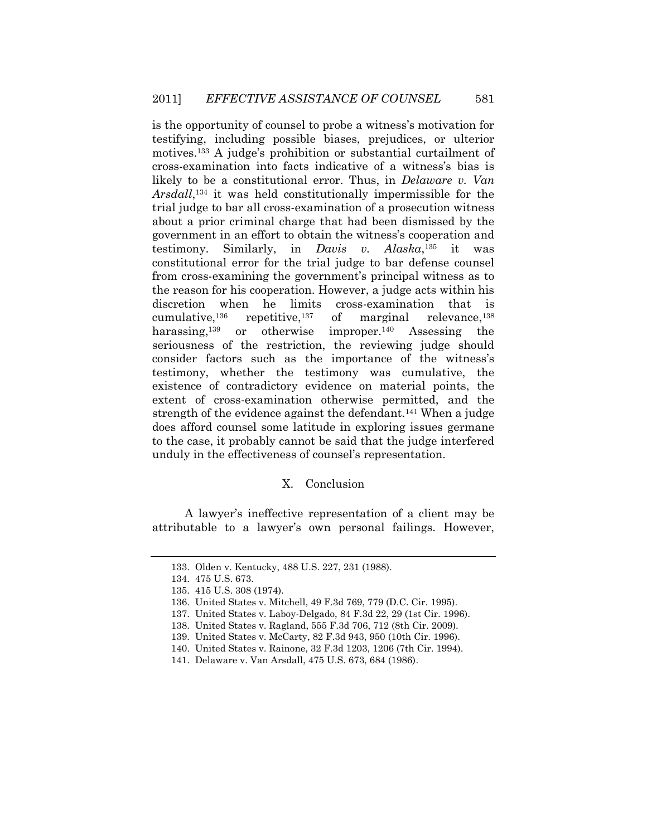is the opportunity of counsel to probe a witness"s motivation for testifying, including possible biases, prejudices, or ulterior motives.<sup>133</sup> A judge's prohibition or substantial curtailment of cross-examination into facts indicative of a witness"s bias is likely to be a constitutional error. Thus, in *Delaware v. Van Arsdall*, <sup>134</sup> it was held constitutionally impermissible for the trial judge to bar all cross-examination of a prosecution witness about a prior criminal charge that had been dismissed by the government in an effort to obtain the witness"s cooperation and testimony. Similarly, in *Davis v. Alaska*, <sup>135</sup> it was constitutional error for the trial judge to bar defense counsel from cross-examining the government's principal witness as to the reason for his cooperation. However, a judge acts within his discretion when he limits cross-examination that is cumulative,<sup>136</sup> repetitive,<sup>137</sup> of marginal relevance,<sup>138</sup> harassing,<sup>139</sup> or otherwise improper.<sup>140</sup> Assessing the seriousness of the restriction, the reviewing judge should consider factors such as the importance of the witness"s testimony, whether the testimony was cumulative, the existence of contradictory evidence on material points, the extent of cross-examination otherwise permitted, and the strength of the evidence against the defendant.<sup>141</sup> When a judge does afford counsel some latitude in exploring issues germane to the case, it probably cannot be said that the judge interfered unduly in the effectiveness of counsel's representation.

#### X. Conclusion

A lawyer"s ineffective representation of a client may be attributable to a lawyer"s own personal failings. However,

<sup>133.</sup> Olden v. Kentucky, 488 U.S. 227, 231 (1988).

<sup>134. 475</sup> U.S. 673.

<sup>135. 415</sup> U.S. 308 (1974).

<sup>136.</sup> United States v. Mitchell, 49 F.3d 769, 779 (D.C. Cir. 1995).

<sup>137.</sup> United States v. Laboy-Delgado, 84 F.3d 22, 29 (1st Cir. 1996).

<sup>138.</sup> United States v. Ragland, 555 F.3d 706, 712 (8th Cir. 2009).

<sup>139.</sup> United States v. McCarty, 82 F.3d 943, 950 (10th Cir. 1996).

<sup>140.</sup> United States v. Rainone, 32 F.3d 1203, 1206 (7th Cir. 1994).

<sup>141.</sup> Delaware v. Van Arsdall, 475 U.S. 673, 684 (1986).